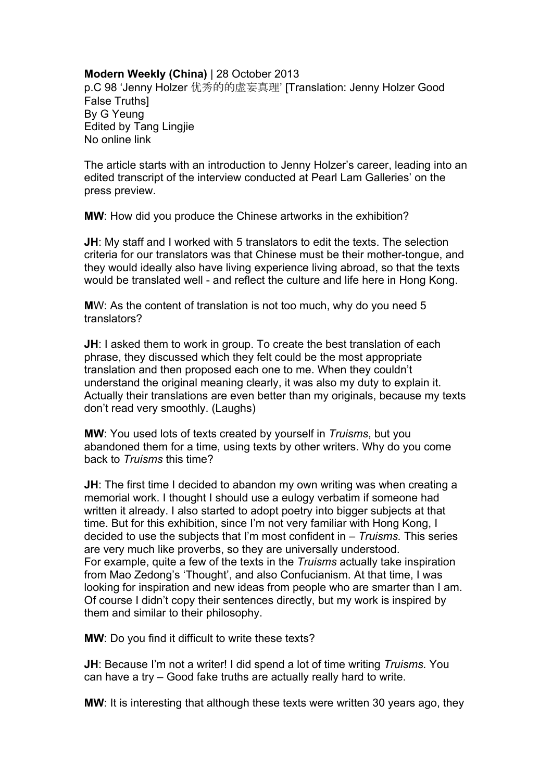## **Modern Weekly (China)** | 28 October 2013

p.C 98 'Jenny Holzer 优秀的的虚妄真理' [Translation: Jenny Holzer Good False Truths] By G Yeung Edited by Tang Lingjie No online link

The article starts with an introduction to Jenny Holzer's career, leading into an edited transcript of the interview conducted at Pearl Lam Galleries' on the press preview.

**MW**: How did you produce the Chinese artworks in the exhibition?

**JH**: My staff and I worked with 5 translators to edit the texts. The selection criteria for our translators was that Chinese must be their mother-tongue, and they would ideally also have living experience living abroad, so that the texts would be translated well - and reflect the culture and life here in Hong Kong.

**M**W: As the content of translation is not too much, why do you need 5 translators?

**JH:** I asked them to work in group. To create the best translation of each phrase, they discussed which they felt could be the most appropriate translation and then proposed each one to me. When they couldn't understand the original meaning clearly, it was also my duty to explain it. Actually their translations are even better than my originals, because my texts don't read very smoothly. (Laughs)

**MW**: You used lots of texts created by yourself in *Truisms*, but you abandoned them for a time, using texts by other writers. Why do you come back to *Truisms* this time?

**JH:** The first time I decided to abandon my own writing was when creating a memorial work. I thought I should use a eulogy verbatim if someone had written it already. I also started to adopt poetry into bigger subjects at that time. But for this exhibition, since I'm not very familiar with Hong Kong, I decided to use the subjects that I'm most confident in – *Truisms.* This series are very much like proverbs, so they are universally understood. For example, quite a few of the texts in the *Truisms* actually take inspiration from Mao Zedong's 'Thought', and also Confucianism. At that time, I was looking for inspiration and new ideas from people who are smarter than I am. Of course I didn't copy their sentences directly, but my work is inspired by them and similar to their philosophy.

**MW**: Do you find it difficult to write these texts?

**JH**: Because I'm not a writer! I did spend a lot of time writing *Truisms.* You can have a try – Good fake truths are actually really hard to write.

**MW**: It is interesting that although these texts were written 30 years ago, they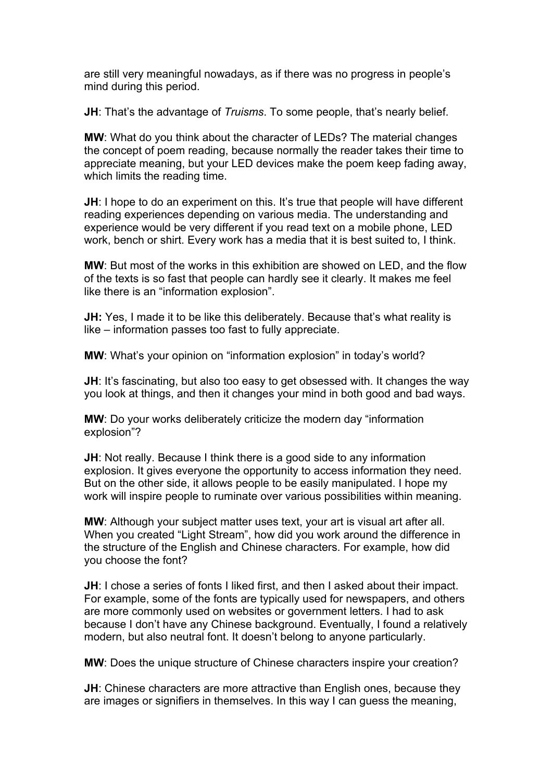are still very meaningful nowadays, as if there was no progress in people's mind during this period.

**JH**: That's the advantage of *Truisms*. To some people, that's nearly belief.

**MW**: What do you think about the character of LEDs? The material changes the concept of poem reading, because normally the reader takes their time to appreciate meaning, but your LED devices make the poem keep fading away, which limits the reading time.

**JH:** I hope to do an experiment on this. It's true that people will have different reading experiences depending on various media. The understanding and experience would be very different if you read text on a mobile phone, LED work, bench or shirt. Every work has a media that it is best suited to, I think.

**MW**: But most of the works in this exhibition are showed on LED, and the flow of the texts is so fast that people can hardly see it clearly. It makes me feel like there is an "information explosion".

**JH:** Yes, I made it to be like this deliberately. Because that's what reality is like – information passes too fast to fully appreciate.

**MW**: What's your opinion on "information explosion" in today's world?

**JH:** It's fascinating, but also too easy to get obsessed with. It changes the way you look at things, and then it changes your mind in both good and bad ways.

**MW**: Do your works deliberately criticize the modern day "information explosion"?

**JH:** Not really. Because I think there is a good side to any information explosion. It gives everyone the opportunity to access information they need. But on the other side, it allows people to be easily manipulated. I hope my work will inspire people to ruminate over various possibilities within meaning.

**MW**: Although your subject matter uses text, your art is visual art after all. When you created "Light Stream", how did you work around the difference in the structure of the English and Chinese characters. For example, how did you choose the font?

**JH**: I chose a series of fonts I liked first, and then I asked about their impact. For example, some of the fonts are typically used for newspapers, and others are more commonly used on websites or government letters. I had to ask because I don't have any Chinese background. Eventually, I found a relatively modern, but also neutral font. It doesn't belong to anyone particularly.

**MW**: Does the unique structure of Chinese characters inspire your creation?

**JH:** Chinese characters are more attractive than English ones, because they are images or signifiers in themselves. In this way I can guess the meaning,